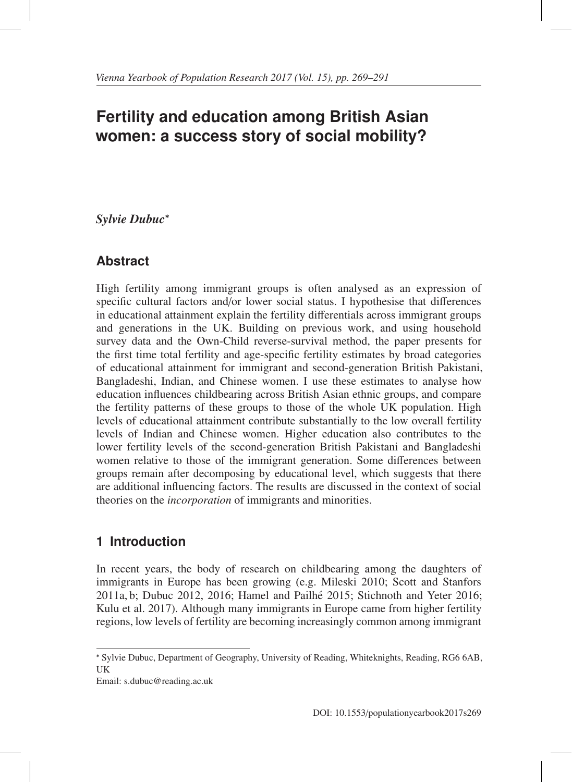# **Fertility and education among British Asian women: a success story of social mobility?**

# *Sylvie Dubuc*<sup>∗</sup>

# **Abstract**

High fertility among immigrant groups is often analysed as an expression of specific cultural factors and/or lower social status. I hypothesise that differences in educational attainment explain the fertility differentials across immigrant groups and generations in the UK. Building on previous work, and using household survey data and the Own-Child reverse-survival method, the paper presents for the first time total fertility and age-specific fertility estimates by broad categories of educational attainment for immigrant and second-generation British Pakistani, Bangladeshi, Indian, and Chinese women. I use these estimates to analyse how education influences childbearing across British Asian ethnic groups, and compare the fertility patterns of these groups to those of the whole UK population. High levels of educational attainment contribute substantially to the low overall fertility levels of Indian and Chinese women. Higher education also contributes to the lower fertility levels of the second-generation British Pakistani and Bangladeshi women relative to those of the immigrant generation. Some differences between groups remain after decomposing by educational level, which suggests that there are additional influencing factors. The results are discussed in the context of social theories on the *incorporation* of immigrants and minorities.

# **1 Introduction**

In recent years, the body of research on childbearing among the daughters of immigrants in Europe has been growing (e.g. Mileski 2010; Scott and Stanfors 2011a, b; Dubuc 2012, 2016; Hamel and Pailhe 2015; Stichnoth and Yeter 2016; ´ Kulu et al. 2017). Although many immigrants in Europe came from higher fertility regions, low levels of fertility are becoming increasingly common among immigrant

Email: s.dubuc@reading.ac.uk

<sup>∗</sup> Sylvie Dubuc, Department of Geography, University of Reading, Whiteknights, Reading, RG6 6AB, UK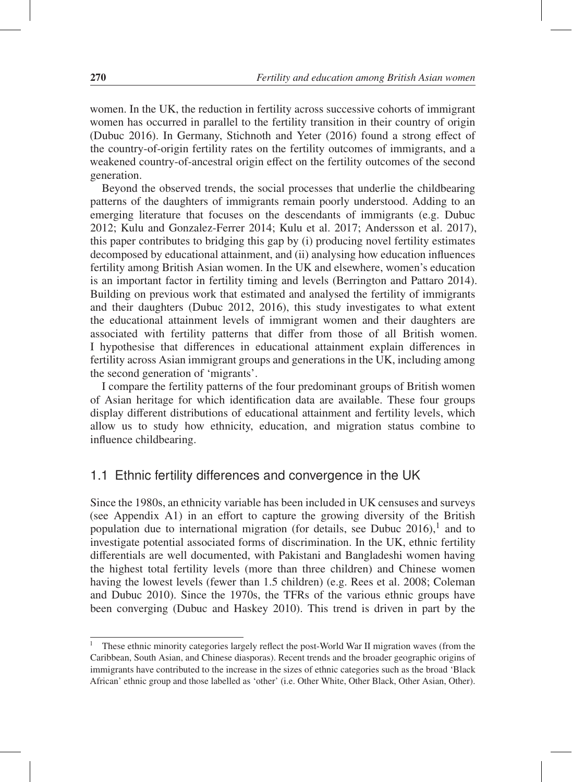women. In the UK, the reduction in fertility across successive cohorts of immigrant women has occurred in parallel to the fertility transition in their country of origin (Dubuc 2016). In Germany, Stichnoth and Yeter (2016) found a strong effect of the country-of-origin fertility rates on the fertility outcomes of immigrants, and a weakened country-of-ancestral origin effect on the fertility outcomes of the second generation.

Beyond the observed trends, the social processes that underlie the childbearing patterns of the daughters of immigrants remain poorly understood. Adding to an emerging literature that focuses on the descendants of immigrants (e.g. Dubuc 2012; Kulu and Gonzalez-Ferrer 2014; Kulu et al. 2017; Andersson et al. 2017), this paper contributes to bridging this gap by (i) producing novel fertility estimates decomposed by educational attainment, and (ii) analysing how education influences fertility among British Asian women. In the UK and elsewhere, women's education is an important factor in fertility timing and levels (Berrington and Pattaro 2014). Building on previous work that estimated and analysed the fertility of immigrants and their daughters (Dubuc 2012, 2016), this study investigates to what extent the educational attainment levels of immigrant women and their daughters are associated with fertility patterns that differ from those of all British women. I hypothesise that differences in educational attainment explain differences in fertility across Asian immigrant groups and generations in the UK, including among the second generation of 'migrants'.

I compare the fertility patterns of the four predominant groups of British women of Asian heritage for which identification data are available. These four groups display different distributions of educational attainment and fertility levels, which allow us to study how ethnicity, education, and migration status combine to influence childbearing.

# 1.1 Ethnic fertility differences and convergence in the UK

Since the 1980s, an ethnicity variable has been included in UK censuses and surveys (see Appendix A1) in an effort to capture the growing diversity of the British population due to international migration (for details, see Dubuc  $2016$ ),<sup>1</sup> and to investigate potential associated forms of discrimination. In the UK, ethnic fertility differentials are well documented, with Pakistani and Bangladeshi women having the highest total fertility levels (more than three children) and Chinese women having the lowest levels (fewer than 1.5 children) (e.g. Rees et al. 2008; Coleman and Dubuc 2010). Since the 1970s, the TFRs of the various ethnic groups have been converging (Dubuc and Haskey 2010). This trend is driven in part by the

<sup>&</sup>lt;sup>1</sup> These ethnic minority categories largely reflect the post-World War II migration waves (from the Caribbean, South Asian, and Chinese diasporas). Recent trends and the broader geographic origins of immigrants have contributed to the increase in the sizes of ethnic categories such as the broad 'Black African' ethnic group and those labelled as 'other' (i.e. Other White, Other Black, Other Asian, Other).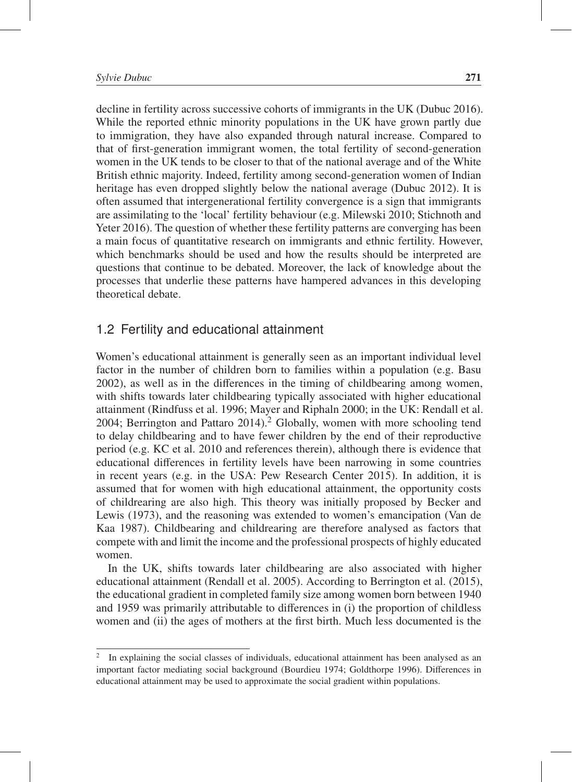decline in fertility across successive cohorts of immigrants in the UK (Dubuc 2016). While the reported ethnic minority populations in the UK have grown partly due to immigration, they have also expanded through natural increase. Compared to that of first-generation immigrant women, the total fertility of second-generation women in the UK tends to be closer to that of the national average and of the White British ethnic majority. Indeed, fertility among second-generation women of Indian heritage has even dropped slightly below the national average (Dubuc 2012). It is often assumed that intergenerational fertility convergence is a sign that immigrants are assimilating to the 'local' fertility behaviour (e.g. Milewski 2010; Stichnoth and Yeter 2016). The question of whether these fertility patterns are converging has been a main focus of quantitative research on immigrants and ethnic fertility. However, which benchmarks should be used and how the results should be interpreted are questions that continue to be debated. Moreover, the lack of knowledge about the processes that underlie these patterns have hampered advances in this developing theoretical debate.

### 1.2 Fertility and educational attainment

Women's educational attainment is generally seen as an important individual level factor in the number of children born to families within a population (e.g. Basu 2002), as well as in the differences in the timing of childbearing among women, with shifts towards later childbearing typically associated with higher educational attainment (Rindfuss et al. 1996; Mayer and Riphaln 2000; in the UK: Rendall et al. 2004; Berrington and Pattaro 2014).<sup>2</sup> Globally, women with more schooling tend to delay childbearing and to have fewer children by the end of their reproductive period (e.g. KC et al. 2010 and references therein), although there is evidence that educational differences in fertility levels have been narrowing in some countries in recent years (e.g. in the USA: Pew Research Center 2015). In addition, it is assumed that for women with high educational attainment, the opportunity costs of childrearing are also high. This theory was initially proposed by Becker and Lewis (1973), and the reasoning was extended to women's emancipation (Van de Kaa 1987). Childbearing and childrearing are therefore analysed as factors that compete with and limit the income and the professional prospects of highly educated women.

In the UK, shifts towards later childbearing are also associated with higher educational attainment (Rendall et al. 2005). According to Berrington et al. (2015), the educational gradient in completed family size among women born between 1940 and 1959 was primarily attributable to differences in (i) the proportion of childless women and (ii) the ages of mothers at the first birth. Much less documented is the

<sup>2</sup> In explaining the social classes of individuals, educational attainment has been analysed as an important factor mediating social background (Bourdieu 1974; Goldthorpe 1996). Differences in educational attainment may be used to approximate the social gradient within populations.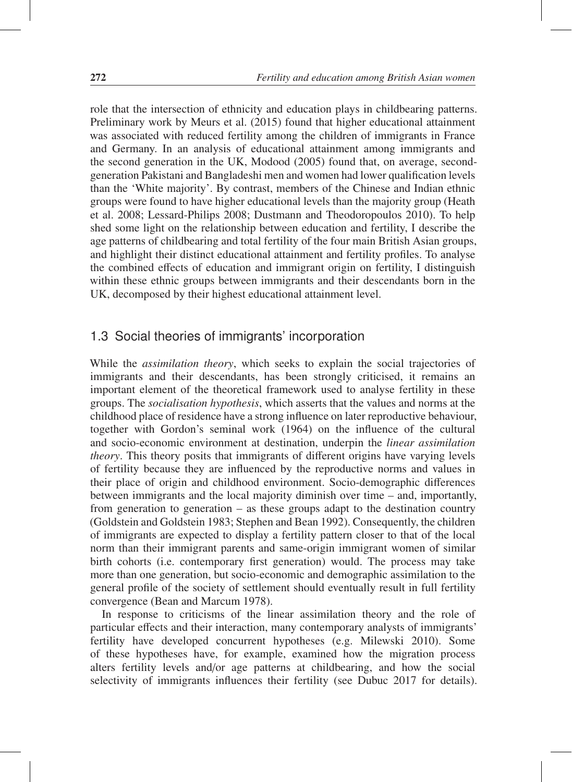role that the intersection of ethnicity and education plays in childbearing patterns. Preliminary work by Meurs et al. (2015) found that higher educational attainment was associated with reduced fertility among the children of immigrants in France and Germany. In an analysis of educational attainment among immigrants and the second generation in the UK, Modood (2005) found that, on average, secondgeneration Pakistani and Bangladeshi men and women had lower qualification levels than the 'White majority'. By contrast, members of the Chinese and Indian ethnic groups were found to have higher educational levels than the majority group (Heath et al. 2008; Lessard-Philips 2008; Dustmann and Theodoropoulos 2010). To help shed some light on the relationship between education and fertility, I describe the age patterns of childbearing and total fertility of the four main British Asian groups, and highlight their distinct educational attainment and fertility profiles. To analyse the combined effects of education and immigrant origin on fertility, I distinguish within these ethnic groups between immigrants and their descendants born in the UK, decomposed by their highest educational attainment level.

# 1.3 Social theories of immigrants' incorporation

While the *assimilation theory*, which seeks to explain the social trajectories of immigrants and their descendants, has been strongly criticised, it remains an important element of the theoretical framework used to analyse fertility in these groups. The *socialisation hypothesis*, which asserts that the values and norms at the childhood place of residence have a strong influence on later reproductive behaviour, together with Gordon's seminal work (1964) on the influence of the cultural and socio-economic environment at destination, underpin the *linear assimilation theory*. This theory posits that immigrants of different origins have varying levels of fertility because they are influenced by the reproductive norms and values in their place of origin and childhood environment. Socio-demographic differences between immigrants and the local majority diminish over time – and, importantly, from generation to generation – as these groups adapt to the destination country (Goldstein and Goldstein 1983; Stephen and Bean 1992). Consequently, the children of immigrants are expected to display a fertility pattern closer to that of the local norm than their immigrant parents and same-origin immigrant women of similar birth cohorts (i.e. contemporary first generation) would. The process may take more than one generation, but socio-economic and demographic assimilation to the general profile of the society of settlement should eventually result in full fertility convergence (Bean and Marcum 1978).

In response to criticisms of the linear assimilation theory and the role of particular effects and their interaction, many contemporary analysts of immigrants' fertility have developed concurrent hypotheses (e.g. Milewski 2010). Some of these hypotheses have, for example, examined how the migration process alters fertility levels and/or age patterns at childbearing, and how the social selectivity of immigrants influences their fertility (see Dubuc 2017 for details).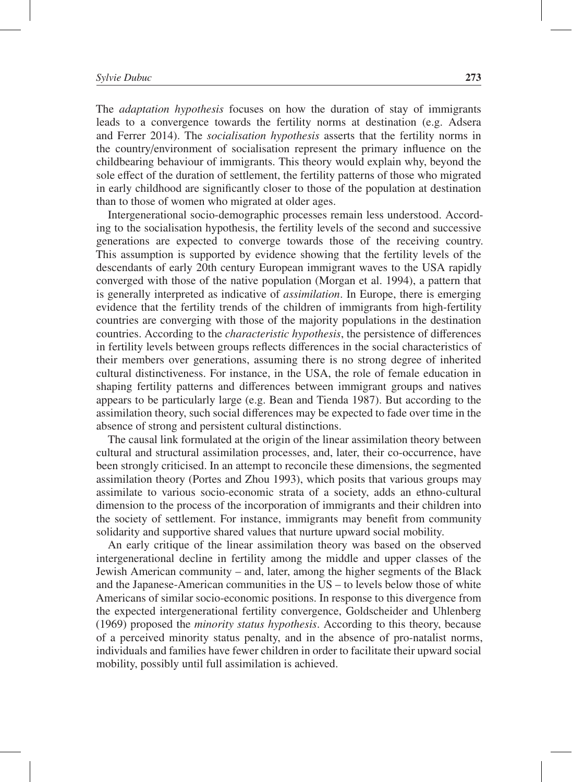The *adaptation hypothesis* focuses on how the duration of stay of immigrants leads to a convergence towards the fertility norms at destination (e.g. Adsera and Ferrer 2014). The *socialisation hypothesis* asserts that the fertility norms in the country/environment of socialisation represent the primary influence on the childbearing behaviour of immigrants. This theory would explain why, beyond the sole effect of the duration of settlement, the fertility patterns of those who migrated in early childhood are significantly closer to those of the population at destination than to those of women who migrated at older ages.

Intergenerational socio-demographic processes remain less understood. According to the socialisation hypothesis, the fertility levels of the second and successive generations are expected to converge towards those of the receiving country. This assumption is supported by evidence showing that the fertility levels of the descendants of early 20th century European immigrant waves to the USA rapidly converged with those of the native population (Morgan et al. 1994), a pattern that is generally interpreted as indicative of *assimilation*. In Europe, there is emerging evidence that the fertility trends of the children of immigrants from high-fertility countries are converging with those of the majority populations in the destination countries. According to the *characteristic hypothesis*, the persistence of differences in fertility levels between groups reflects differences in the social characteristics of their members over generations, assuming there is no strong degree of inherited cultural distinctiveness. For instance, in the USA, the role of female education in shaping fertility patterns and differences between immigrant groups and natives appears to be particularly large (e.g. Bean and Tienda 1987). But according to the assimilation theory, such social differences may be expected to fade over time in the absence of strong and persistent cultural distinctions.

The causal link formulated at the origin of the linear assimilation theory between cultural and structural assimilation processes, and, later, their co-occurrence, have been strongly criticised. In an attempt to reconcile these dimensions, the segmented assimilation theory (Portes and Zhou 1993), which posits that various groups may assimilate to various socio-economic strata of a society, adds an ethno-cultural dimension to the process of the incorporation of immigrants and their children into the society of settlement. For instance, immigrants may benefit from community solidarity and supportive shared values that nurture upward social mobility.

An early critique of the linear assimilation theory was based on the observed intergenerational decline in fertility among the middle and upper classes of the Jewish American community – and, later, among the higher segments of the Black and the Japanese-American communities in the US – to levels below those of white Americans of similar socio-economic positions. In response to this divergence from the expected intergenerational fertility convergence, Goldscheider and Uhlenberg (1969) proposed the *minority status hypothesis*. According to this theory, because of a perceived minority status penalty, and in the absence of pro-natalist norms, individuals and families have fewer children in order to facilitate their upward social mobility, possibly until full assimilation is achieved.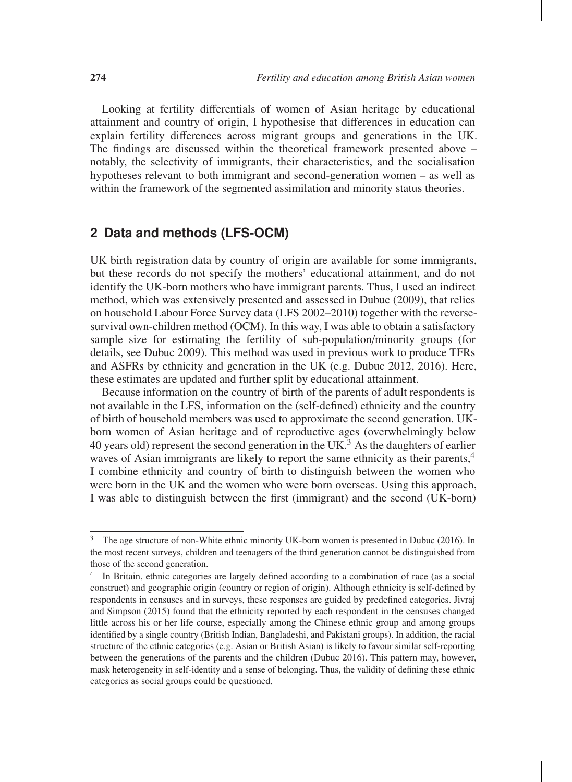Looking at fertility differentials of women of Asian heritage by educational attainment and country of origin, I hypothesise that differences in education can explain fertility differences across migrant groups and generations in the UK. The findings are discussed within the theoretical framework presented above – notably, the selectivity of immigrants, their characteristics, and the socialisation hypotheses relevant to both immigrant and second-generation women – as well as within the framework of the segmented assimilation and minority status theories.

# **2 Data and methods (LFS-OCM)**

UK birth registration data by country of origin are available for some immigrants, but these records do not specify the mothers' educational attainment, and do not identify the UK-born mothers who have immigrant parents. Thus, I used an indirect method, which was extensively presented and assessed in Dubuc (2009), that relies on household Labour Force Survey data (LFS 2002–2010) together with the reversesurvival own-children method (OCM). In this way, I was able to obtain a satisfactory sample size for estimating the fertility of sub-population/minority groups (for details, see Dubuc 2009). This method was used in previous work to produce TFRs and ASFRs by ethnicity and generation in the UK (e.g. Dubuc 2012, 2016). Here, these estimates are updated and further split by educational attainment.

Because information on the country of birth of the parents of adult respondents is not available in the LFS, information on the (self-defined) ethnicity and the country of birth of household members was used to approximate the second generation. UKborn women of Asian heritage and of reproductive ages (overwhelmingly below 40 years old) represent the second generation in the UK.<sup>3</sup> As the daughters of earlier waves of Asian immigrants are likely to report the same ethnicity as their parents,<sup>4</sup> I combine ethnicity and country of birth to distinguish between the women who were born in the UK and the women who were born overseas. Using this approach, I was able to distinguish between the first (immigrant) and the second (UK-born)

<sup>&</sup>lt;sup>3</sup> The age structure of non-White ethnic minority UK-born women is presented in Dubuc (2016). In the most recent surveys, children and teenagers of the third generation cannot be distinguished from those of the second generation.

<sup>&</sup>lt;sup>4</sup> In Britain, ethnic categories are largely defined according to a combination of race (as a social construct) and geographic origin (country or region of origin). Although ethnicity is self-defined by respondents in censuses and in surveys, these responses are guided by predefined categories. Jivraj and Simpson (2015) found that the ethnicity reported by each respondent in the censuses changed little across his or her life course, especially among the Chinese ethnic group and among groups identified by a single country (British Indian, Bangladeshi, and Pakistani groups). In addition, the racial structure of the ethnic categories (e.g. Asian or British Asian) is likely to favour similar self-reporting between the generations of the parents and the children (Dubuc 2016). This pattern may, however, mask heterogeneity in self-identity and a sense of belonging. Thus, the validity of defining these ethnic categories as social groups could be questioned.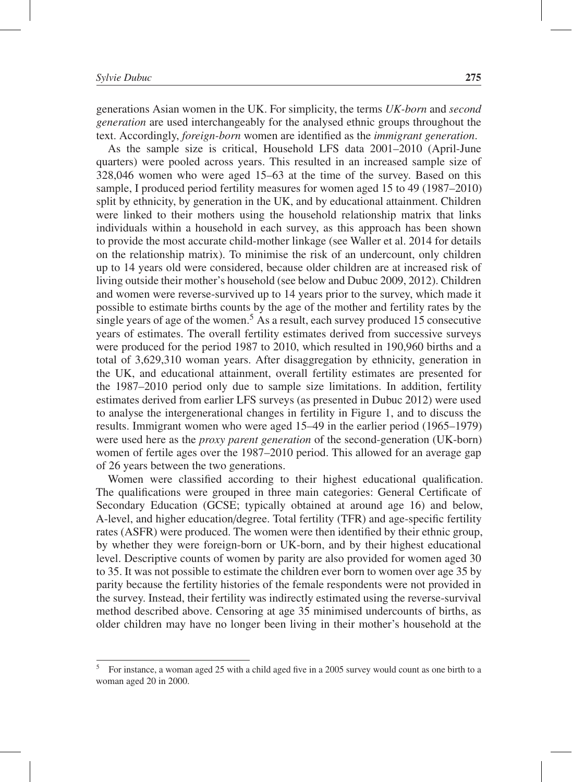generations Asian women in the UK. For simplicity, the terms *UK-born* and *second generation* are used interchangeably for the analysed ethnic groups throughout the text. Accordingly, *foreign-born* women are identified as the *immigrant generation*.

As the sample size is critical, Household LFS data 2001–2010 (April-June quarters) were pooled across years. This resulted in an increased sample size of 328,046 women who were aged 15–63 at the time of the survey. Based on this sample, I produced period fertility measures for women aged 15 to 49 (1987–2010) split by ethnicity, by generation in the UK, and by educational attainment. Children were linked to their mothers using the household relationship matrix that links individuals within a household in each survey, as this approach has been shown to provide the most accurate child-mother linkage (see Waller et al. 2014 for details on the relationship matrix). To minimise the risk of an undercount, only children up to 14 years old were considered, because older children are at increased risk of living outside their mother's household (see below and Dubuc 2009, 2012). Children and women were reverse-survived up to 14 years prior to the survey, which made it possible to estimate births counts by the age of the mother and fertility rates by the single years of age of the women.<sup>5</sup> As a result, each survey produced 15 consecutive years of estimates. The overall fertility estimates derived from successive surveys were produced for the period 1987 to 2010, which resulted in 190,960 births and a total of 3,629,310 woman years. After disaggregation by ethnicity, generation in the UK, and educational attainment, overall fertility estimates are presented for the 1987–2010 period only due to sample size limitations. In addition, fertility estimates derived from earlier LFS surveys (as presented in Dubuc 2012) were used to analyse the intergenerational changes in fertility in Figure 1, and to discuss the results. Immigrant women who were aged 15–49 in the earlier period (1965–1979) were used here as the *proxy parent generation* of the second-generation (UK-born) women of fertile ages over the 1987–2010 period. This allowed for an average gap of 26 years between the two generations.

Women were classified according to their highest educational qualification. The qualifications were grouped in three main categories: General Certificate of Secondary Education (GCSE; typically obtained at around age 16) and below, A-level, and higher education/degree. Total fertility (TFR) and age-specific fertility rates (ASFR) were produced. The women were then identified by their ethnic group, by whether they were foreign-born or UK-born, and by their highest educational level. Descriptive counts of women by parity are also provided for women aged 30 to 35. It was not possible to estimate the children ever born to women over age 35 by parity because the fertility histories of the female respondents were not provided in the survey. Instead, their fertility was indirectly estimated using the reverse-survival method described above. Censoring at age 35 minimised undercounts of births, as older children may have no longer been living in their mother's household at the

<sup>5</sup> For instance, a woman aged 25 with a child aged five in a 2005 survey would count as one birth to a woman aged 20 in 2000.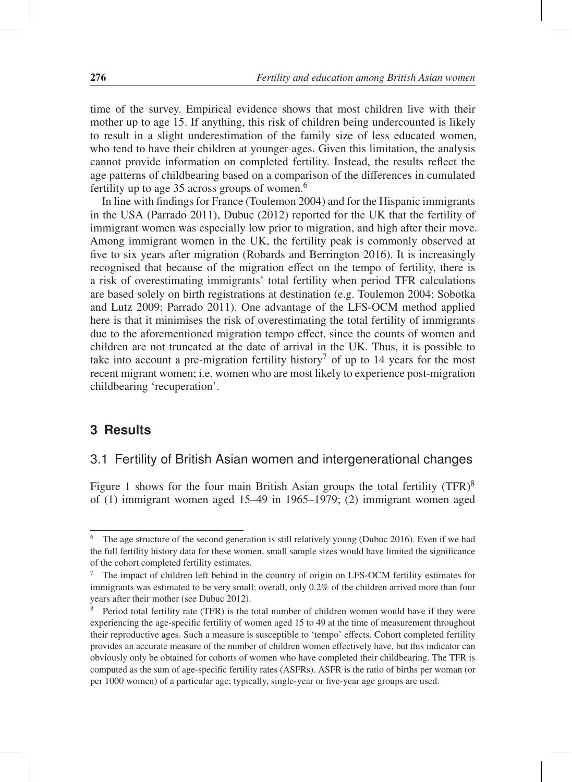time of the survey. Empirical evidence shows that most children live with their mother up to age 15. If anything, this risk of children being undercounted is likely to result in a slight underestimation of the family size of less educated women, who tend to have their children at younger ages. Given this limitation, the analysis cannot provide information on completed fertility. Instead, the results reflect the age patterns of childbearing based on a comparison of the differences in cumulated fertility up to age 35 across groups of women.6

In line with findings for France (Toulemon 2004) and for the Hispanic immigrants in the USA (Parrado 2011), Dubuc (2012) reported for the UK that the fertility of immigrant women was especially low prior to migration, and high after their move. Among immigrant women in the UK, the fertility peak is commonly observed at five to six years after migration (Robards and Berrington 2016). It is increasingly recognised that because of the migration effect on the tempo of fertility, there is a risk of overestimating immigrants' total fertility when period TFR calculations are based solely on birth registrations at destination (e.g. Toulemon 2004; Sobotka and Lutz 2009; Parrado 2011). One advantage of the LFS-OCM method applied here is that it minimises the risk of overestimating the total fertility of immigrants due to the aforementioned migration tempo effect, since the counts of women and children are not truncated at the date of arrival in the UK. Thus, it is possible to take into account a pre-migration fertility history<sup>7</sup> of up to 14 years for the most recent migrant women; i.e. women who are most likely to experience post-migration childbearing 'recuperation'.

### **3 Results**

# 3.1 Fertility of British Asian women and intergenerational changes

Figure 1 shows for the four main British Asian groups the total fertility  $(TFR)^8$ of (1) immigrant women aged 15–49 in 1965–1979; (2) immigrant women aged

<sup>&</sup>lt;sup>6</sup> The age structure of the second generation is still relatively young (Dubuc 2016). Even if we had the full fertility history data for these women, small sample sizes would have limited the significance of the cohort completed fertility estimates.

 $7\text{$  The impact of children left behind in the country of origin on LFS-OCM fertility estimates for immigrants was estimated to be very small; overall, only 0.2% of the children arrived more than four years after their mother (see Dubuc 2012).

<sup>&</sup>lt;sup>8</sup> Period total fertility rate (TFR) is the total number of children women would have if they were experiencing the age-specific fertility of women aged 15 to 49 at the time of measurement throughout their reproductive ages. Such a measure is susceptible to 'tempo' effects. Cohort completed fertility provides an accurate measure of the number of children women effectively have, but this indicator can obviously only be obtained for cohorts of women who have completed their childbearing. The TFR is computed as the sum of age-specific fertility rates (ASFRs). ASFR is the ratio of births per woman (or per 1000 women) of a particular age; typically, single-year or five-year age groups are used.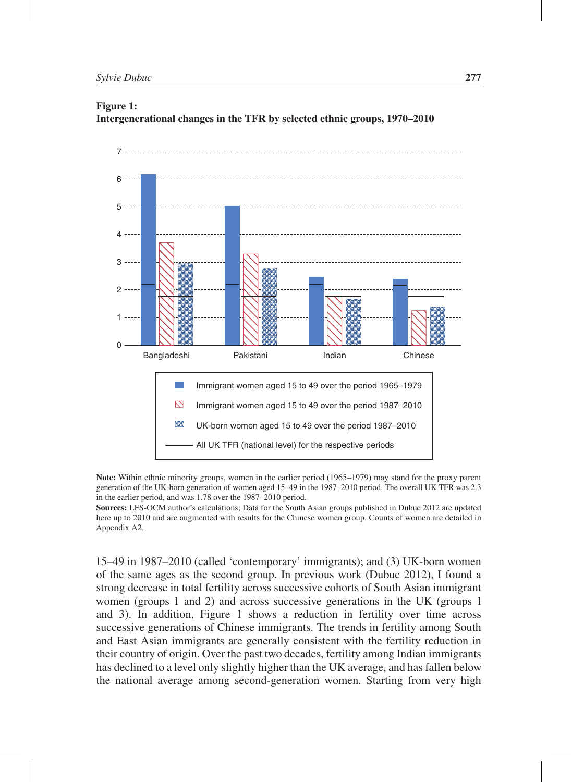#### Figure 1: Intergenerational changes in the TFR by selected ethnic groups, 1970–2010



Note: Within ethnic minority groups, women in the earlier period (1965–1979) may stand for the proxy parent generation of the UK-born generation of women aged 15–49 in the 1987–2010 period. The overall UK TFR was 2.3 in the earlier period, and was 1.78 over the 1987–2010 period.

Sources: LFS-OCM author's calculations; Data for the South Asian groups published in Dubuc 2012 are updated here up to 2010 and are augmented with results for the Chinese women group. Counts of women are detailed in Appendix A2.

15–49 in 1987–2010 (called 'contemporary' immigrants); and (3) UK-born women of the same ages as the second group. In previous work (Dubuc 2012), I found a strong decrease in total fertility across successive cohorts of South Asian immigrant women (groups 1 and 2) and across successive generations in the UK (groups 1 and 3). In addition, Figure 1 shows a reduction in fertility over time across successive generations of Chinese immigrants. The trends in fertility among South and East Asian immigrants are generally consistent with the fertility reduction in their country of origin. Over the past two decades, fertility among Indian immigrants has declined to a level only slightly higher than the UK average, and has fallen below the national average among second-generation women. Starting from very high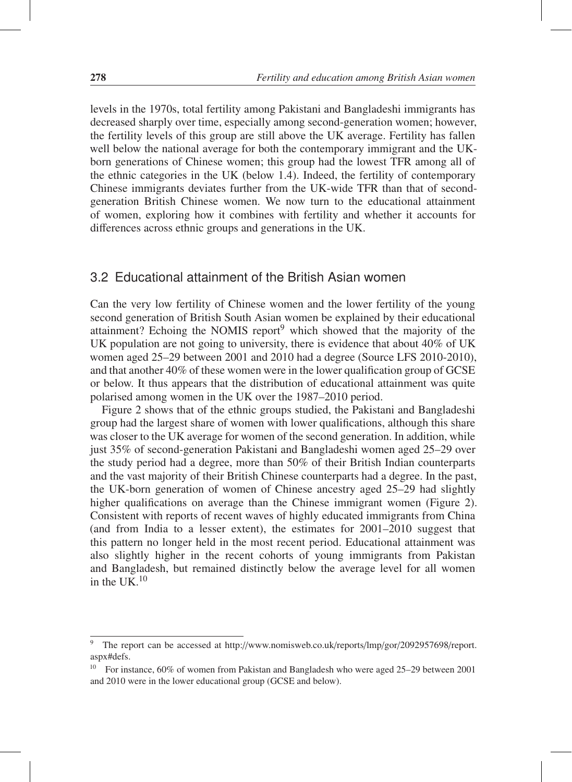levels in the 1970s, total fertility among Pakistani and Bangladeshi immigrants has decreased sharply over time, especially among second-generation women; however, the fertility levels of this group are still above the UK average. Fertility has fallen well below the national average for both the contemporary immigrant and the UKborn generations of Chinese women; this group had the lowest TFR among all of the ethnic categories in the UK (below 1.4). Indeed, the fertility of contemporary Chinese immigrants deviates further from the UK-wide TFR than that of secondgeneration British Chinese women. We now turn to the educational attainment of women, exploring how it combines with fertility and whether it accounts for differences across ethnic groups and generations in the UK.

## 3.2 Educational attainment of the British Asian women

Can the very low fertility of Chinese women and the lower fertility of the young second generation of British South Asian women be explained by their educational attainment? Echoing the NOMIS report<sup>9</sup> which showed that the majority of the UK population are not going to university, there is evidence that about 40% of UK women aged 25–29 between 2001 and 2010 had a degree (Source LFS 2010-2010), and that another 40% of these women were in the lower qualification group of GCSE or below. It thus appears that the distribution of educational attainment was quite polarised among women in the UK over the 1987–2010 period.

Figure 2 shows that of the ethnic groups studied, the Pakistani and Bangladeshi group had the largest share of women with lower qualifications, although this share was closer to the UK average for women of the second generation. In addition, while just 35% of second-generation Pakistani and Bangladeshi women aged 25–29 over the study period had a degree, more than 50% of their British Indian counterparts and the vast majority of their British Chinese counterparts had a degree. In the past, the UK-born generation of women of Chinese ancestry aged 25–29 had slightly higher qualifications on average than the Chinese immigrant women (Figure 2). Consistent with reports of recent waves of highly educated immigrants from China (and from India to a lesser extent), the estimates for 2001–2010 suggest that this pattern no longer held in the most recent period. Educational attainment was also slightly higher in the recent cohorts of young immigrants from Pakistan and Bangladesh, but remained distinctly below the average level for all women in the UK. $10$ 

<sup>&</sup>lt;sup>9</sup> The report can be accessed at http://www.nomisweb.co.uk/reports/lmp/gor/2092957698/report. aspx#defs.

<sup>10</sup> For instance, 60% of women from Pakistan and Bangladesh who were aged 25–29 between 2001 and 2010 were in the lower educational group (GCSE and below).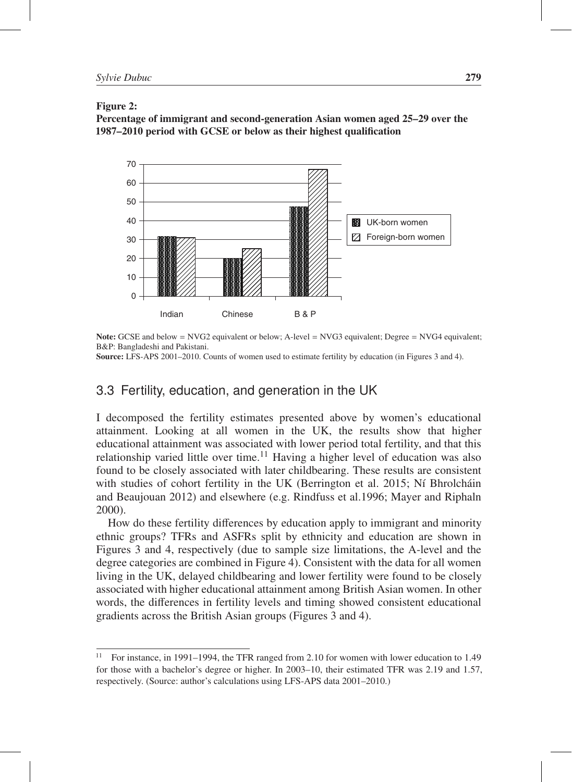Figure 2:

Percentage of immigrant and second-generation Asian women aged 25–29 over the 1987–2010 period with GCSE or below as their highest qualification



Note: GCSE and below = NVG2 equivalent or below; A-level = NVG3 equivalent; Degree = NVG4 equivalent; B&P: Bangladeshi and Pakistani.

Source: LFS-APS 2001–2010. Counts of women used to estimate fertility by education (in Figures 3 and 4).

# 3.3 Fertility, education, and generation in the UK

I decomposed the fertility estimates presented above by women's educational attainment. Looking at all women in the UK, the results show that higher educational attainment was associated with lower period total fertility, and that this relationship varied little over time.<sup>11</sup> Having a higher level of education was also found to be closely associated with later childbearing. These results are consistent with studies of cohort fertility in the UK (Berrington et al. 2015; Ní Bhrolcháin and Beaujouan 2012) and elsewhere (e.g. Rindfuss et al.1996; Mayer and Riphaln 2000).

How do these fertility differences by education apply to immigrant and minority ethnic groups? TFRs and ASFRs split by ethnicity and education are shown in Figures 3 and 4, respectively (due to sample size limitations, the A-level and the degree categories are combined in Figure 4). Consistent with the data for all women living in the UK, delayed childbearing and lower fertility were found to be closely associated with higher educational attainment among British Asian women. In other words, the differences in fertility levels and timing showed consistent educational gradients across the British Asian groups (Figures 3 and 4).

<sup>&</sup>lt;sup>11</sup> For instance, in 1991–1994, the TFR ranged from 2.10 for women with lower education to 1.49 for those with a bachelor's degree or higher. In 2003–10, their estimated TFR was 2.19 and 1.57, respectively. (Source: author's calculations using LFS-APS data 2001–2010.)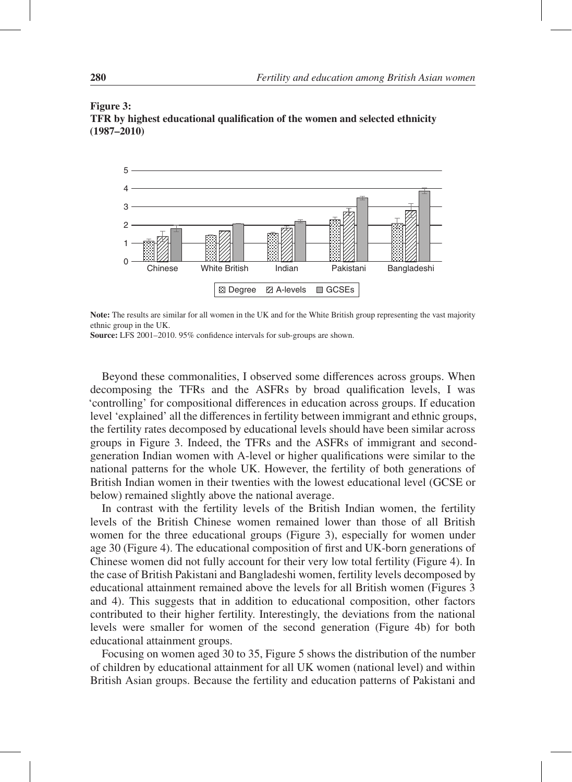

#### Figure 3: TFR by highest educational qualification of the women and selected ethnicity (1987–2010)

Note: The results are similar for all women in the UK and for the White British group representing the vast majority ethnic group in the UK.

Source: LFS 2001–2010. 95% confidence intervals for sub-groups are shown.

Beyond these commonalities, I observed some differences across groups. When decomposing the TFRs and the ASFRs by broad qualification levels, I was 'controlling' for compositional differences in education across groups. If education level 'explained' all the differences in fertility between immigrant and ethnic groups, the fertility rates decomposed by educational levels should have been similar across groups in Figure 3. Indeed, the TFRs and the ASFRs of immigrant and secondgeneration Indian women with A-level or higher qualifications were similar to the national patterns for the whole UK. However, the fertility of both generations of British Indian women in their twenties with the lowest educational level (GCSE or below) remained slightly above the national average.

In contrast with the fertility levels of the British Indian women, the fertility levels of the British Chinese women remained lower than those of all British women for the three educational groups (Figure 3), especially for women under age 30 (Figure 4). The educational composition of first and UK-born generations of Chinese women did not fully account for their very low total fertility (Figure 4). In the case of British Pakistani and Bangladeshi women, fertility levels decomposed by educational attainment remained above the levels for all British women (Figures 3 and 4). This suggests that in addition to educational composition, other factors contributed to their higher fertility. Interestingly, the deviations from the national levels were smaller for women of the second generation (Figure 4b) for both educational attainment groups.

Focusing on women aged 30 to 35, Figure 5 shows the distribution of the number of children by educational attainment for all UK women (national level) and within British Asian groups. Because the fertility and education patterns of Pakistani and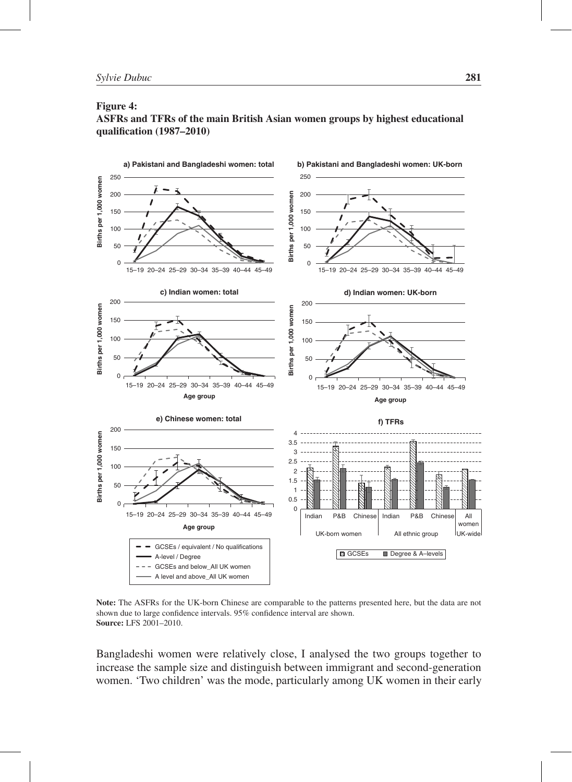#### Figure 4:





Note: The ASFRs for the UK-born Chinese are comparable to the patterns presented here, but the data are not shown due to large confidence intervals. 95% confidence interval are shown. Source: LFS 2001–2010.

Bangladeshi women were relatively close, I analysed the two groups together to increase the sample size and distinguish between immigrant and second-generation women. 'Two children' was the mode, particularly among UK women in their early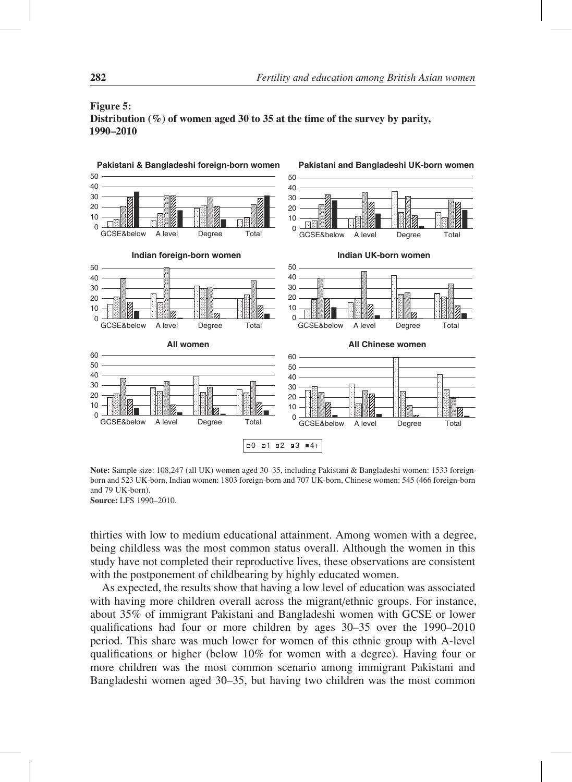

#### Figure 5: Distribution  $(\%)$  of women aged 30 to 35 at the time of the survey by parity, 1990–2010

Note: Sample size: 108,247 (all UK) women aged 30–35, including Pakistani & Bangladeshi women: 1533 foreignborn and 523 UK-born, Indian women: 1803 foreign-born and 707 UK-born, Chinese women: 545 (466 foreign-born and 79 UK-born).

Source: LFS 1990–2010.

thirties with low to medium educational attainment. Among women with a degree, being childless was the most common status overall. Although the women in this study have not completed their reproductive lives, these observations are consistent with the postponement of childbearing by highly educated women.

As expected, the results show that having a low level of education was associated with having more children overall across the migrant/ethnic groups. For instance, about 35% of immigrant Pakistani and Bangladeshi women with GCSE or lower qualifications had four or more children by ages 30–35 over the 1990–2010 period. This share was much lower for women of this ethnic group with A-level qualifications or higher (below 10% for women with a degree). Having four or more children was the most common scenario among immigrant Pakistani and Bangladeshi women aged 30–35, but having two children was the most common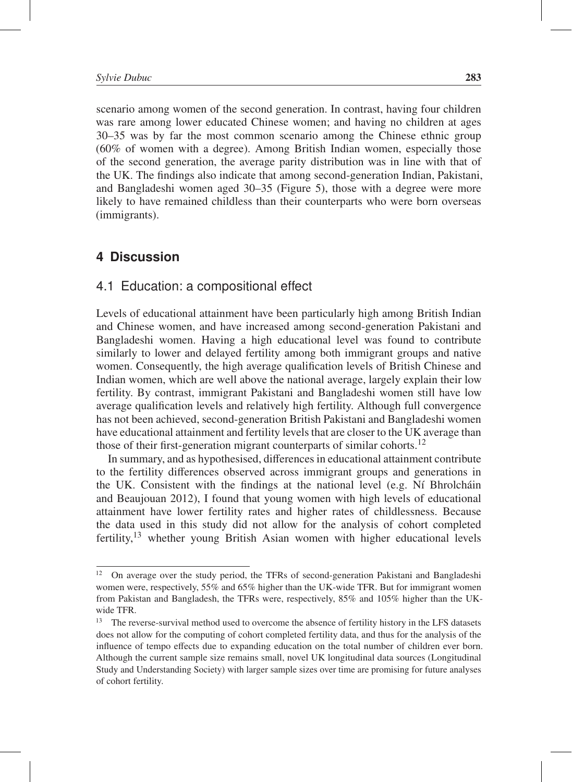scenario among women of the second generation. In contrast, having four children was rare among lower educated Chinese women; and having no children at ages 30–35 was by far the most common scenario among the Chinese ethnic group (60% of women with a degree). Among British Indian women, especially those of the second generation, the average parity distribution was in line with that of the UK. The findings also indicate that among second-generation Indian, Pakistani, and Bangladeshi women aged 30–35 (Figure 5), those with a degree were more likely to have remained childless than their counterparts who were born overseas (immigrants).

#### **4 Discussion**

#### 4.1 Education: a compositional effect

Levels of educational attainment have been particularly high among British Indian and Chinese women, and have increased among second-generation Pakistani and Bangladeshi women. Having a high educational level was found to contribute similarly to lower and delayed fertility among both immigrant groups and native women. Consequently, the high average qualification levels of British Chinese and Indian women, which are well above the national average, largely explain their low fertility. By contrast, immigrant Pakistani and Bangladeshi women still have low average qualification levels and relatively high fertility. Although full convergence has not been achieved, second-generation British Pakistani and Bangladeshi women have educational attainment and fertility levels that are closer to the UK average than those of their first-generation migrant counterparts of similar cohorts.<sup>12</sup>

In summary, and as hypothesised, differences in educational attainment contribute to the fertility differences observed across immigrant groups and generations in the UK. Consistent with the findings at the national level (e.g. Ní Bhrolchain and Beaujouan 2012), I found that young women with high levels of educational attainment have lower fertility rates and higher rates of childlessness. Because the data used in this study did not allow for the analysis of cohort completed fertility,13 whether young British Asian women with higher educational levels

<sup>&</sup>lt;sup>12</sup> On average over the study period, the TFRs of second-generation Pakistani and Bangladeshi women were, respectively, 55% and 65% higher than the UK-wide TFR. But for immigrant women from Pakistan and Bangladesh, the TFRs were, respectively, 85% and 105% higher than the UKwide TFR.

<sup>&</sup>lt;sup>13</sup> The reverse-survival method used to overcome the absence of fertility history in the LFS datasets does not allow for the computing of cohort completed fertility data, and thus for the analysis of the influence of tempo effects due to expanding education on the total number of children ever born. Although the current sample size remains small, novel UK longitudinal data sources (Longitudinal Study and Understanding Society) with larger sample sizes over time are promising for future analyses of cohort fertility.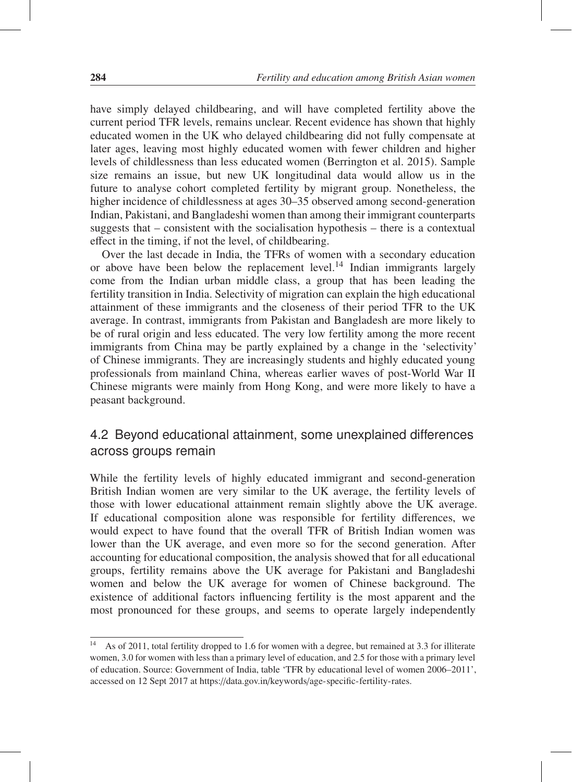have simply delayed childbearing, and will have completed fertility above the current period TFR levels, remains unclear. Recent evidence has shown that highly educated women in the UK who delayed childbearing did not fully compensate at later ages, leaving most highly educated women with fewer children and higher levels of childlessness than less educated women (Berrington et al. 2015). Sample size remains an issue, but new UK longitudinal data would allow us in the future to analyse cohort completed fertility by migrant group. Nonetheless, the higher incidence of childlessness at ages 30–35 observed among second-generation Indian, Pakistani, and Bangladeshi women than among their immigrant counterparts suggests that – consistent with the socialisation hypothesis – there is a contextual effect in the timing, if not the level, of childbearing.

Over the last decade in India, the TFRs of women with a secondary education or above have been below the replacement level.<sup>14</sup> Indian immigrants largely come from the Indian urban middle class, a group that has been leading the fertility transition in India. Selectivity of migration can explain the high educational attainment of these immigrants and the closeness of their period TFR to the UK average. In contrast, immigrants from Pakistan and Bangladesh are more likely to be of rural origin and less educated. The very low fertility among the more recent immigrants from China may be partly explained by a change in the 'selectivity' of Chinese immigrants. They are increasingly students and highly educated young professionals from mainland China, whereas earlier waves of post-World War II Chinese migrants were mainly from Hong Kong, and were more likely to have a peasant background.

# 4.2 Beyond educational attainment, some unexplained differences across groups remain

While the fertility levels of highly educated immigrant and second-generation British Indian women are very similar to the UK average, the fertility levels of those with lower educational attainment remain slightly above the UK average. If educational composition alone was responsible for fertility differences, we would expect to have found that the overall TFR of British Indian women was lower than the UK average, and even more so for the second generation. After accounting for educational composition, the analysis showed that for all educational groups, fertility remains above the UK average for Pakistani and Bangladeshi women and below the UK average for women of Chinese background. The existence of additional factors influencing fertility is the most apparent and the most pronounced for these groups, and seems to operate largely independently

<sup>&</sup>lt;sup>14</sup> As of 2011, total fertility dropped to 1.6 for women with a degree, but remained at 3.3 for illiterate women, 3.0 for women with less than a primary level of education, and 2.5 for those with a primary level of education. Source: Government of India, table 'TFR by educational level of women 2006–2011', accessed on 12 Sept 2017 at https://data.gov.in/keywords/age-specific-fertility-rates.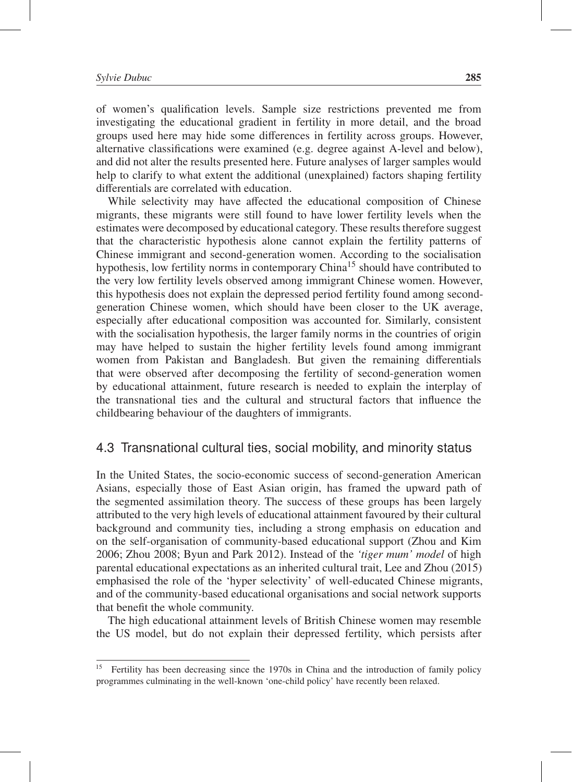of women's qualification levels. Sample size restrictions prevented me from investigating the educational gradient in fertility in more detail, and the broad groups used here may hide some differences in fertility across groups. However, alternative classifications were examined (e.g. degree against A-level and below), and did not alter the results presented here. Future analyses of larger samples would help to clarify to what extent the additional (unexplained) factors shaping fertility differentials are correlated with education.

While selectivity may have affected the educational composition of Chinese migrants, these migrants were still found to have lower fertility levels when the estimates were decomposed by educational category. These results therefore suggest that the characteristic hypothesis alone cannot explain the fertility patterns of Chinese immigrant and second-generation women. According to the socialisation hypothesis, low fertility norms in contemporary China<sup>15</sup> should have contributed to the very low fertility levels observed among immigrant Chinese women. However, this hypothesis does not explain the depressed period fertility found among secondgeneration Chinese women, which should have been closer to the UK average, especially after educational composition was accounted for. Similarly, consistent with the socialisation hypothesis, the larger family norms in the countries of origin may have helped to sustain the higher fertility levels found among immigrant women from Pakistan and Bangladesh. But given the remaining differentials that were observed after decomposing the fertility of second-generation women by educational attainment, future research is needed to explain the interplay of the transnational ties and the cultural and structural factors that influence the childbearing behaviour of the daughters of immigrants.

### 4.3 Transnational cultural ties, social mobility, and minority status

In the United States, the socio-economic success of second-generation American Asians, especially those of East Asian origin, has framed the upward path of the segmented assimilation theory. The success of these groups has been largely attributed to the very high levels of educational attainment favoured by their cultural background and community ties, including a strong emphasis on education and on the self-organisation of community-based educational support (Zhou and Kim 2006; Zhou 2008; Byun and Park 2012). Instead of the *'tiger mum' model* of high parental educational expectations as an inherited cultural trait, Lee and Zhou (2015) emphasised the role of the 'hyper selectivity' of well-educated Chinese migrants, and of the community-based educational organisations and social network supports that benefit the whole community.

The high educational attainment levels of British Chinese women may resemble the US model, but do not explain their depressed fertility, which persists after

<sup>15</sup> Fertility has been decreasing since the 1970s in China and the introduction of family policy programmes culminating in the well-known 'one-child policy' have recently been relaxed.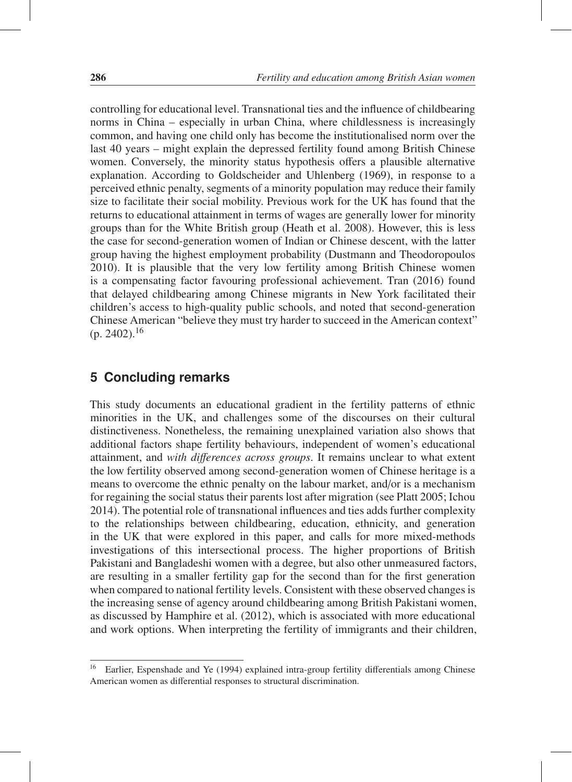controlling for educational level. Transnational ties and the influence of childbearing norms in China – especially in urban China, where childlessness is increasingly common, and having one child only has become the institutionalised norm over the last 40 years – might explain the depressed fertility found among British Chinese women. Conversely, the minority status hypothesis offers a plausible alternative explanation. According to Goldscheider and Uhlenberg (1969), in response to a perceived ethnic penalty, segments of a minority population may reduce their family size to facilitate their social mobility. Previous work for the UK has found that the returns to educational attainment in terms of wages are generally lower for minority groups than for the White British group (Heath et al. 2008). However, this is less the case for second-generation women of Indian or Chinese descent, with the latter group having the highest employment probability (Dustmann and Theodoropoulos 2010). It is plausible that the very low fertility among British Chinese women is a compensating factor favouring professional achievement. Tran (2016) found that delayed childbearing among Chinese migrants in New York facilitated their children's access to high-quality public schools, and noted that second-generation Chinese American "believe they must try harder to succeed in the American context"  $(p. 2402).^{16}$ 

# **5 Concluding remarks**

This study documents an educational gradient in the fertility patterns of ethnic minorities in the UK, and challenges some of the discourses on their cultural distinctiveness. Nonetheless, the remaining unexplained variation also shows that additional factors shape fertility behaviours, independent of women's educational attainment, and *with di*ff*erences across groups*. It remains unclear to what extent the low fertility observed among second-generation women of Chinese heritage is a means to overcome the ethnic penalty on the labour market, and/or is a mechanism for regaining the social status their parents lost after migration (see Platt 2005; Ichou 2014). The potential role of transnational influences and ties adds further complexity to the relationships between childbearing, education, ethnicity, and generation in the UK that were explored in this paper, and calls for more mixed-methods investigations of this intersectional process. The higher proportions of British Pakistani and Bangladeshi women with a degree, but also other unmeasured factors, are resulting in a smaller fertility gap for the second than for the first generation when compared to national fertility levels. Consistent with these observed changes is the increasing sense of agency around childbearing among British Pakistani women, as discussed by Hamphire et al. (2012), which is associated with more educational and work options. When interpreting the fertility of immigrants and their children,

<sup>16</sup> Earlier, Espenshade and Ye (1994) explained intra-group fertility differentials among Chinese American women as differential responses to structural discrimination.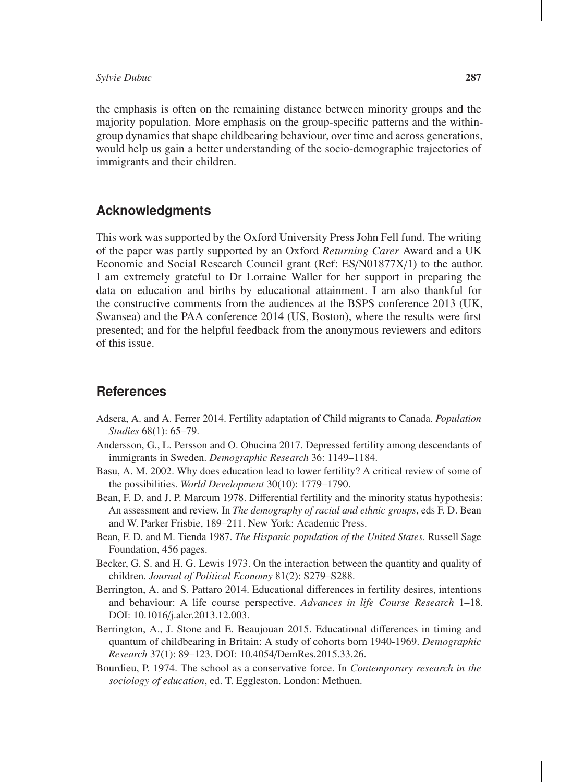the emphasis is often on the remaining distance between minority groups and the majority population. More emphasis on the group-specific patterns and the withingroup dynamics that shape childbearing behaviour, over time and across generations, would help us gain a better understanding of the socio-demographic trajectories of immigrants and their children.

# **Acknowledgments**

This work was supported by the Oxford University Press John Fell fund. The writing of the paper was partly supported by an Oxford *Returning Carer* Award and a UK Economic and Social Research Council grant (Ref: ES/N01877X/1) to the author. I am extremely grateful to Dr Lorraine Waller for her support in preparing the data on education and births by educational attainment. I am also thankful for the constructive comments from the audiences at the BSPS conference 2013 (UK, Swansea) and the PAA conference 2014 (US, Boston), where the results were first presented; and for the helpful feedback from the anonymous reviewers and editors of this issue.

# **References**

- Adsera, A. and A. Ferrer 2014. Fertility adaptation of Child migrants to Canada. *Population Studies* 68(1): 65–79.
- Andersson, G., L. Persson and O. Obucina 2017. Depressed fertility among descendants of immigrants in Sweden. *Demographic Research* 36: 1149–1184.
- Basu, A. M. 2002. Why does education lead to lower fertility? A critical review of some of the possibilities. *World Development* 30(10): 1779–1790.
- Bean, F. D. and J. P. Marcum 1978. Differential fertility and the minority status hypothesis: An assessment and review. In *The demography of racial and ethnic groups*, eds F. D. Bean and W. Parker Frisbie, 189–211. New York: Academic Press.
- Bean, F. D. and M. Tienda 1987. *The Hispanic population of the United States*. Russell Sage Foundation, 456 pages.
- Becker, G. S. and H. G. Lewis 1973. On the interaction between the quantity and quality of children. *Journal of Political Economy* 81(2): S279–S288.
- Berrington, A. and S. Pattaro 2014. Educational differences in fertility desires, intentions and behaviour: A life course perspective. *Advances in life Course Research* 1–18. DOI: 10.1016/j.alcr.2013.12.003.
- Berrington, A., J. Stone and E. Beaujouan 2015. Educational differences in timing and quantum of childbearing in Britain: A study of cohorts born 1940-1969. *Demographic Research* 37(1): 89–123. DOI: 10.4054/DemRes.2015.33.26.
- Bourdieu, P. 1974. The school as a conservative force. In *Contemporary research in the sociology of education*, ed. T. Eggleston. London: Methuen.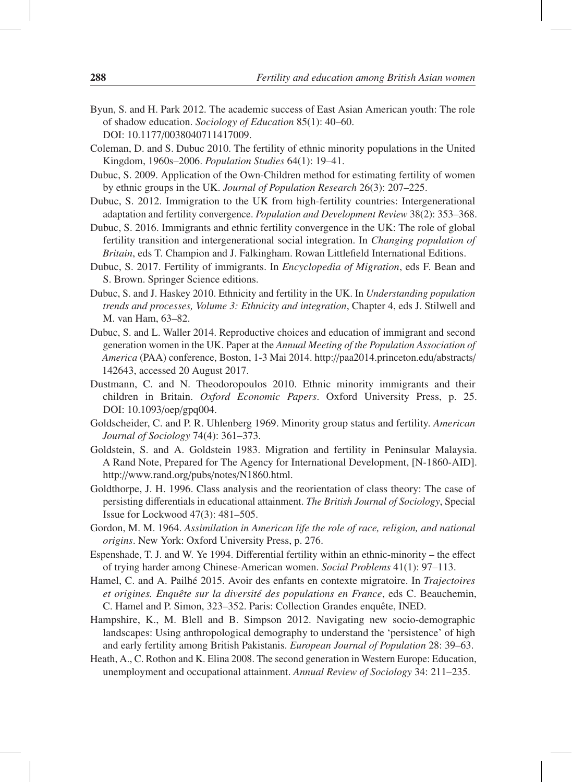- Byun, S. and H. Park 2012. The academic success of East Asian American youth: The role of shadow education. *Sociology of Education* 85(1): 40–60. DOI: 10.1177/0038040711417009.
- Coleman, D. and S. Dubuc 2010. The fertility of ethnic minority populations in the United Kingdom, 1960s–2006. *Population Studies* 64(1): 19–41.
- Dubuc, S. 2009. Application of the Own-Children method for estimating fertility of women by ethnic groups in the UK. *Journal of Population Research* 26(3): 207–225.
- Dubuc, S. 2012. Immigration to the UK from high-fertility countries: Intergenerational adaptation and fertility convergence. *Population and Development Review* 38(2): 353–368.
- Dubuc, S. 2016. Immigrants and ethnic fertility convergence in the UK: The role of global fertility transition and intergenerational social integration. In *Changing population of Britain*, eds T. Champion and J. Falkingham. Rowan Littlefield International Editions.
- Dubuc, S. 2017. Fertility of immigrants. In *Encyclopedia of Migration*, eds F. Bean and S. Brown. Springer Science editions.
- Dubuc, S. and J. Haskey 2010. Ethnicity and fertility in the UK. In *Understanding population trends and processes, Volume 3: Ethnicity and integration*, Chapter 4, eds J. Stilwell and M. van Ham, 63–82.
- Dubuc, S. and L. Waller 2014. Reproductive choices and education of immigrant and second generation women in the UK. Paper at the *Annual Meeting of the Population Association of America* (PAA) conference, Boston, 1-3 Mai 2014. http://paa2014.princeton.edu/abstracts/ 142643, accessed 20 August 2017.
- Dustmann, C. and N. Theodoropoulos 2010. Ethnic minority immigrants and their children in Britain. *Oxford Economic Papers*. Oxford University Press, p. 25. DOI: 10.1093/oep/gpq004.
- Goldscheider, C. and P. R. Uhlenberg 1969. Minority group status and fertility. *American Journal of Sociology* 74(4): 361–373.
- Goldstein, S. and A. Goldstein 1983. Migration and fertility in Peninsular Malaysia. A Rand Note, Prepared for The Agency for International Development, [N-1860-AID]. http://www.rand.org/pubs/notes/N1860.html.
- Goldthorpe, J. H. 1996. Class analysis and the reorientation of class theory: The case of persisting differentials in educational attainment. *The British Journal of Sociology*, Special Issue for Lockwood 47(3): 481–505.
- Gordon, M. M. 1964. *Assimilation in American life the role of race, religion, and national origins*. New York: Oxford University Press, p. 276.
- Espenshade, T. J. and W. Ye 1994. Differential fertility within an ethnic-minority the effect of trying harder among Chinese-American women. *Social Problems* 41(1): 97–113.
- Hamel, C. and A. Pailhé 2015. Avoir des enfants en contexte migratoire. In *Trajectoires* et origines. Enquête sur la diversité des populations en France, eds C. Beauchemin, C. Hamel and P. Simon, 323–352. Paris: Collection Grandes enquête, INED.
- Hampshire, K., M. Blell and B. Simpson 2012. Navigating new socio-demographic landscapes: Using anthropological demography to understand the 'persistence' of high and early fertility among British Pakistanis. *European Journal of Population* 28: 39–63.
- Heath, A., C. Rothon and K. Elina 2008. The second generation in Western Europe: Education, unemployment and occupational attainment. *Annual Review of Sociology* 34: 211–235.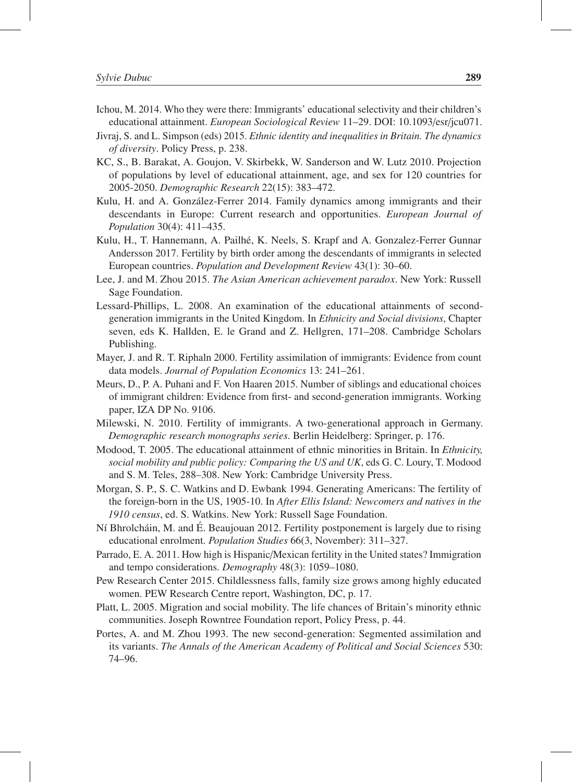- Ichou, M. 2014. Who they were there: Immigrants' educational selectivity and their children's educational attainment. *European Sociological Review* 11–29. DOI: 10.1093/esr/jcu071.
- Jivraj, S. and L. Simpson (eds) 2015. *Ethnic identity and inequalities in Britain. The dynamics of diversity*. Policy Press, p. 238.
- KC, S., B. Barakat, A. Goujon, V. Skirbekk, W. Sanderson and W. Lutz 2010. Projection of populations by level of educational attainment, age, and sex for 120 countries for 2005-2050. *Demographic Research* 22(15): 383–472.
- Kulu, H. and A. González-Ferrer 2014. Family dynamics among immigrants and their descendants in Europe: Current research and opportunities. *European Journal of Population* 30(4): 411–435.
- Kulu, H., T. Hannemann, A. Pailhe, K. Neels, S. Krapf and A. Gonzalez-Ferrer Gunnar ´ Andersson 2017. Fertility by birth order among the descendants of immigrants in selected European countries. *Population and Development Review* 43(1): 30–60.
- Lee, J. and M. Zhou 2015. *The Asian American achievement paradox*. New York: Russell Sage Foundation.
- Lessard-Phillips, L. 2008. An examination of the educational attainments of secondgeneration immigrants in the United Kingdom. In *Ethnicity and Social divisions*, Chapter seven, eds K. Hallden, E. le Grand and Z. Hellgren, 171–208. Cambridge Scholars Publishing.
- Mayer, J. and R. T. Riphaln 2000. Fertility assimilation of immigrants: Evidence from count data models. *Journal of Population Economics* 13: 241–261.
- Meurs, D., P. A. Puhani and F. Von Haaren 2015. Number of siblings and educational choices of immigrant children: Evidence from first- and second-generation immigrants. Working paper, IZA DP No. 9106.
- Milewski, N. 2010. Fertility of immigrants. A two-generational approach in Germany. *Demographic research monographs series*. Berlin Heidelberg: Springer, p. 176.
- Modood, T. 2005. The educational attainment of ethnic minorities in Britain. In *Ethnicity, social mobility and public policy: Comparing the US and UK*, eds G. C. Loury, T. Modood and S. M. Teles, 288–308. New York: Cambridge University Press.
- Morgan, S. P., S. C. Watkins and D. Ewbank 1994. Generating Americans: The fertility of the foreign-born in the US, 1905-10. In *After Ellis Island: Newcomers and natives in the 1910 census*, ed. S. Watkins. New York: Russell Sage Foundation.
- Ní Bhrolcháin, M. and É. Beaujouan 2012. Fertility postponement is largely due to rising educational enrolment. *Population Studies* 66(3, November): 311–327.
- Parrado, E. A. 2011. How high is Hispanic/Mexican fertility in the United states? Immigration and tempo considerations. *Demography* 48(3): 1059–1080.
- Pew Research Center 2015. Childlessness falls, family size grows among highly educated women. PEW Research Centre report, Washington, DC, p. 17.
- Platt, L. 2005. Migration and social mobility. The life chances of Britain's minority ethnic communities. Joseph Rowntree Foundation report, Policy Press, p. 44.
- Portes, A. and M. Zhou 1993. The new second-generation: Segmented assimilation and its variants. *The Annals of the American Academy of Political and Social Sciences* 530: 74–96.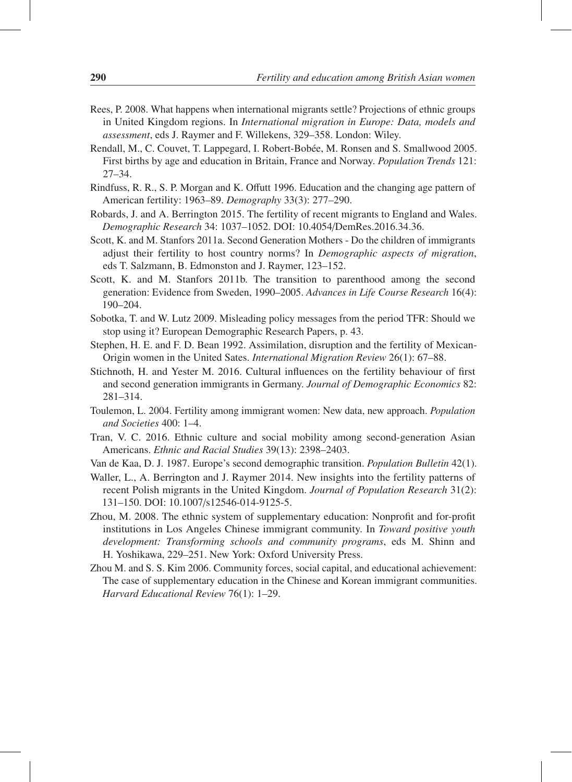- Rees, P. 2008. What happens when international migrants settle? Projections of ethnic groups in United Kingdom regions. In *International migration in Europe: Data, models and assessment*, eds J. Raymer and F. Willekens, 329–358. London: Wiley.
- Rendall, M., C. Couvet, T. Lappegard, I. Robert-Bobée, M. Ronsen and S. Smallwood 2005. First births by age and education in Britain, France and Norway. *Population Trends* 121: 27–34.
- Rindfuss, R. R., S. P. Morgan and K. Offutt 1996. Education and the changing age pattern of American fertility: 1963–89. *Demography* 33(3): 277–290.
- Robards, J. and A. Berrington 2015. The fertility of recent migrants to England and Wales. *Demographic Research* 34: 1037–1052. DOI: 10.4054/DemRes.2016.34.36.
- Scott, K. and M. Stanfors 2011a. Second Generation Mothers Do the children of immigrants adjust their fertility to host country norms? In *Demographic aspects of migration*, eds T. Salzmann, B. Edmonston and J. Raymer, 123–152.
- Scott, K. and M. Stanfors 2011b. The transition to parenthood among the second generation: Evidence from Sweden, 1990–2005. *Advances in Life Course Research* 16(4): 190–204.
- Sobotka, T. and W. Lutz 2009. Misleading policy messages from the period TFR: Should we stop using it? European Demographic Research Papers, p. 43.
- Stephen, H. E. and F. D. Bean 1992. Assimilation, disruption and the fertility of Mexican-Origin women in the United Sates. *International Migration Review* 26(1): 67–88.
- Stichnoth, H. and Yester M. 2016. Cultural influences on the fertility behaviour of first and second generation immigrants in Germany. *Journal of Demographic Economics* 82: 281–314.
- Toulemon, L. 2004. Fertility among immigrant women: New data, new approach. *Population and Societies* 400: 1–4.
- Tran, V. C. 2016. Ethnic culture and social mobility among second-generation Asian Americans. *Ethnic and Racial Studies* 39(13): 2398–2403.
- Van de Kaa, D. J. 1987. Europe's second demographic transition. *Population Bulletin* 42(1).
- Waller, L., A. Berrington and J. Raymer 2014. New insights into the fertility patterns of recent Polish migrants in the United Kingdom. *Journal of Population Research* 31(2): 131–150. DOI: 10.1007/s12546-014-9125-5.
- Zhou, M. 2008. The ethnic system of supplementary education: Nonprofit and for-profit institutions in Los Angeles Chinese immigrant community. In *Toward positive youth development: Transforming schools and community programs*, eds M. Shinn and H. Yoshikawa, 229–251. New York: Oxford University Press.
- Zhou M. and S. S. Kim 2006. Community forces, social capital, and educational achievement: The case of supplementary education in the Chinese and Korean immigrant communities. *Harvard Educational Review* 76(1): 1–29.